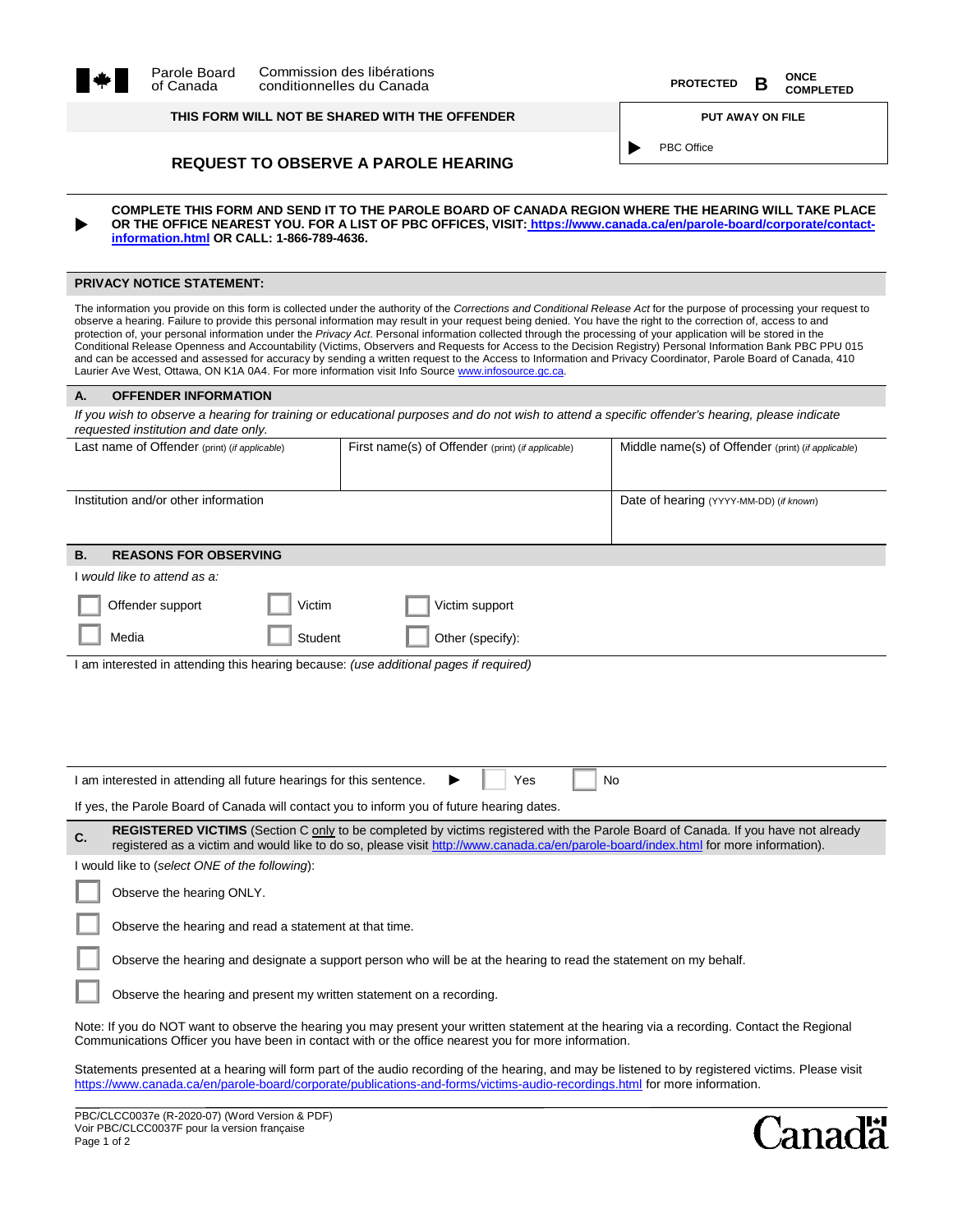| THIS FORM WILL NOT BE SHARED WITH THE OFFENDER | <b>PUT AWAY ON FILE</b> |
|------------------------------------------------|-------------------------|
|------------------------------------------------|-------------------------|

**COMPLETED**

PBC Office

## **REQUEST TO OBSERVE A PAROLE HEARING**

▶ **COMPLETE THIS FORM AND SEND IT TO THE PAROLE BOARD OF CANADA REGION WHERE THE HEARING WILL TAKE PLACE OR THE OFFICE NEAREST YOU. FOR A LIST OF PBC OFFICES, VISIT: [https://www.canada.ca/en/parole-board/corporate/contact](https://www.canada.ca/en/parole-board/corporate/contact-information.html)[information.html](https://www.canada.ca/en/parole-board/corporate/contact-information.html) OR CALL: 1-866-789-4636.**

## **PRIVACY NOTICE STATEMENT:**

The information you provide on this form is collected under the authority of the *Corrections and Conditional Release Act* for the purpose of processing your request to observe a hearing. Failure to provide this personal information may result in your request being denied. You have the right to the correction of, access to and protection of, your personal information under the *Privacy Act*. Personal information collected through the processing of your application will be stored in the Conditional Release Openness and Accountability (Victims, Observers and Requests for Access to the Decision Registry) Personal Information Bank PBC PPU 015 and can be accessed and assessed for accuracy by sending a written request to the Access to Information and Privacy Coordinator, Parole Board of Canada, 410 Laurier Ave West, Ottawa, ON K1A 0A4. For more information visit Info Source www.infosource.gc.ca.

| <b>OFFENDER INFORMATION</b><br>А.                                                                                                                                                                                                                                                |                                                   |                                                    |  |  |  |
|----------------------------------------------------------------------------------------------------------------------------------------------------------------------------------------------------------------------------------------------------------------------------------|---------------------------------------------------|----------------------------------------------------|--|--|--|
| If you wish to observe a hearing for training or educational purposes and do not wish to attend a specific offender's hearing, please indicate<br>requested institution and date only.                                                                                           |                                                   |                                                    |  |  |  |
| Last name of Offender (print) (if applicable)                                                                                                                                                                                                                                    | First name(s) of Offender (print) (if applicable) | Middle name(s) of Offender (print) (if applicable) |  |  |  |
| Institution and/or other information                                                                                                                                                                                                                                             |                                                   | Date of hearing (YYYY-MM-DD) (if known)            |  |  |  |
| <b>REASONS FOR OBSERVING</b><br>В.                                                                                                                                                                                                                                               |                                                   |                                                    |  |  |  |
| I would like to attend as a:                                                                                                                                                                                                                                                     |                                                   |                                                    |  |  |  |
| Offender support<br>Victim                                                                                                                                                                                                                                                       | Victim support                                    |                                                    |  |  |  |
| Media<br>Other (specify):<br>Student                                                                                                                                                                                                                                             |                                                   |                                                    |  |  |  |
| I am interested in attending this hearing because: (use additional pages if required)                                                                                                                                                                                            |                                                   |                                                    |  |  |  |
|                                                                                                                                                                                                                                                                                  |                                                   |                                                    |  |  |  |
| I am interested in attending all future hearings for this sentence.                                                                                                                                                                                                              | Yes                                               | No                                                 |  |  |  |
| If yes, the Parole Board of Canada will contact you to inform you of future hearing dates.                                                                                                                                                                                       |                                                   |                                                    |  |  |  |
| REGISTERED VICTIMS (Section C only to be completed by victims registered with the Parole Board of Canada. If you have not already<br>C.<br>registered as a victim and would like to do so, please visit http://www.canada.ca/en/parole-board/index.html for more information).   |                                                   |                                                    |  |  |  |
| I would like to (select ONE of the following):                                                                                                                                                                                                                                   |                                                   |                                                    |  |  |  |
| Observe the hearing ONLY.                                                                                                                                                                                                                                                        |                                                   |                                                    |  |  |  |
| Observe the hearing and read a statement at that time.                                                                                                                                                                                                                           |                                                   |                                                    |  |  |  |
| Observe the hearing and designate a support person who will be at the hearing to read the statement on my behalf.                                                                                                                                                                |                                                   |                                                    |  |  |  |
| Observe the hearing and present my written statement on a recording.                                                                                                                                                                                                             |                                                   |                                                    |  |  |  |
| Note: If you do NOT want to observe the hearing you may present your written statement at the hearing via a recording. Contact the Regional<br>Communications Officer you have been in contact with or the office nearest you for more information.                              |                                                   |                                                    |  |  |  |
| Statements presented at a hearing will form part of the audio recording of the hearing, and may be listened to by registered victims. Please visit<br>https://www.canada.ca/en/parole-board/corporate/publications-and-forms/victims-audio-recordings.html for more information. |                                                   |                                                    |  |  |  |